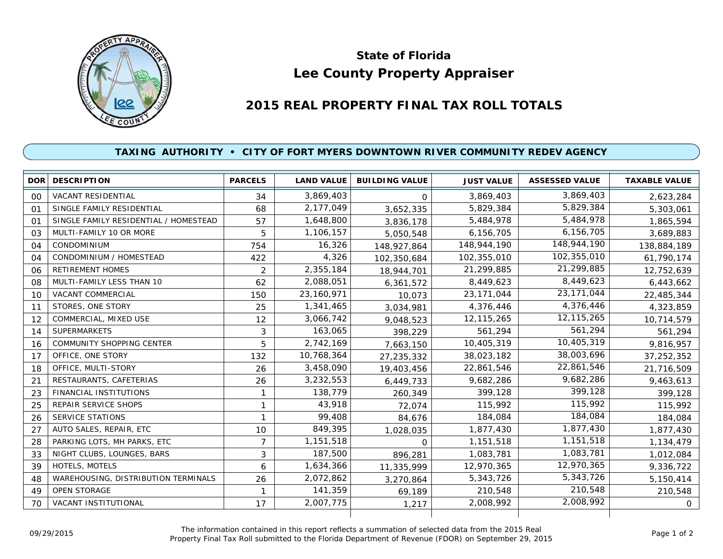

## **Lee County Property Appraiser State of Florida**

## **2015 REAL PROPERTY FINAL TAX ROLL TOTALS**

## **TAXING AUTHORITY • CITY OF FORT MYERS DOWNTOWN RIVER COMMUNITY REDEV AGENCY**

| <b>DOR</b>     | <b>DESCRIPTION</b>                    | <b>PARCELS</b> | <b>LAND VALUE</b> | <b>BUILDING VALUE</b> | <b>JUST VALUE</b> | <b>ASSESSED VALUE</b> | <b>TAXABLE VALUE</b> |
|----------------|---------------------------------------|----------------|-------------------|-----------------------|-------------------|-----------------------|----------------------|
| $00\,$         | VACANT RESIDENTIAL                    | 34             | 3,869,403         | $\Omega$              | 3,869,403         | 3,869,403             | 2,623,284            |
| $^{\circ}$     | SINGLE FAMILY RESIDENTIAL             | 68             | 2,177,049         | 3,652,335             | 5,829,384         | 5,829,384             | 5,303,061            |
| O <sub>1</sub> | SINGLE FAMILY RESIDENTIAL / HOMESTEAD | 57             | 1,648,800         | 3,836,178             | 5,484,978         | 5,484,978             | 1,865,594            |
| 03             | MULTI-FAMILY 10 OR MORE               | 5              | 1,106,157         | 5,050,548             | 6,156,705         | 6,156,705             | 3,689,883            |
| 04             | <b>CONDOMINIUM</b>                    | 754            | 16,326            | 148,927,864           | 148,944,190       | 148,944,190           | 138,884,189          |
| 04             | CONDOMINIUM / HOMESTEAD               | 422            | 4,326             | 102,350,684           | 102,355,010       | 102,355,010           | 61,790,174           |
| 06             | <b>RETIREMENT HOMES</b>               | 2              | 2,355,184         | 18,944,701            | 21,299,885        | 21,299,885            | 12,752,639           |
| 08             | MULTI-FAMILY LESS THAN 10             | 62             | 2,088,051         | 6,361,572             | 8,449,623         | 8,449,623             | 6,443,662            |
| 10             | VACANT COMMERCIAL                     | 150            | 23,160,971        | 10,073                | 23, 171, 044      | 23, 171, 044          | 22,485,344           |
| 11             | STORES, ONE STORY                     | 25             | 1,341,465         | 3,034,981             | 4,376,446         | 4,376,446             | 4,323,859            |
| 12             | COMMERCIAL, MIXED USE                 | 12             | 3,066,742         | 9,048,523             | 12,115,265        | 12,115,265            | 10,714,579           |
| 14             | <b>SUPERMARKETS</b>                   | 3              | 163,065           | 398,229               | 561,294           | 561,294               | 561,294              |
| 16             | <b>COMMUNITY SHOPPING CENTER</b>      | 5              | 2,742,169         | 7,663,150             | 10,405,319        | 10,405,319            | 9,816,957            |
| 17             | OFFICE, ONE STORY                     | 132            | 10,768,364        | 27,235,332            | 38,023,182        | 38,003,696            | 37,252,352           |
| 18             | OFFICE, MULTI-STORY                   | 26             | 3,458,090         | 19,403,456            | 22,861,546        | 22,861,546            | 21,716,509           |
| 21             | RESTAURANTS, CAFETERIAS               | 26             | 3,232,553         | 6,449,733             | 9,682,286         | 9,682,286             | 9,463,613            |
| 23             | <b>FINANCIAL INSTITUTIONS</b>         | 1              | 138,779           | 260,349               | 399,128           | 399,128               | 399,128              |
| 25             | REPAIR SERVICE SHOPS                  | 1              | 43,918            | 72,074                | 115,992           | 115,992               | 115,992              |
| 26             | <b>SERVICE STATIONS</b>               |                | 99,408            | 84,676                | 184,084           | 184,084               | 184,084              |
| 27             | AUTO SALES, REPAIR, ETC               | 10             | 849,395           | 1,028,035             | 1,877,430         | 1,877,430             | 1,877,430            |
| 28             | PARKING LOTS, MH PARKS, ETC           | $\overline{7}$ | 1,151,518         | $\Omega$              | 1,151,518         | 1,151,518             | 1,134,479            |
| 33             | NIGHT CLUBS, LOUNGES, BARS            | 3              | 187,500           | 896,281               | 1,083,781         | 1,083,781             | 1,012,084            |
| 39             | HOTELS, MOTELS                        | 6              | 1,634,366         | 11,335,999            | 12,970,365        | 12,970,365            | 9,336,722            |
| 48             | WAREHOUSING, DISTRIBUTION TERMINALS   | 26             | 2,072,862         | 3,270,864             | 5,343,726         | 5,343,726             | 5,150,414            |
| 49             | <b>OPEN STORAGE</b>                   |                | 141,359           | 69.189                | 210,548           | 210,548               | 210,548              |
| 70             | VACANT INSTITUTIONAL                  | 17             | 2,007,775         | 1,217                 | 2,008,992         | 2,008,992             | $\overline{O}$       |

The information contained in this report reflects a summation of selected data from the 2015 Real Ine information contained in this report reflects a summation of selected data from the 2015 Real<br>Property Final Tax Roll submitted to the Florida Department of Revenue (FDOR) on September 29, 2015